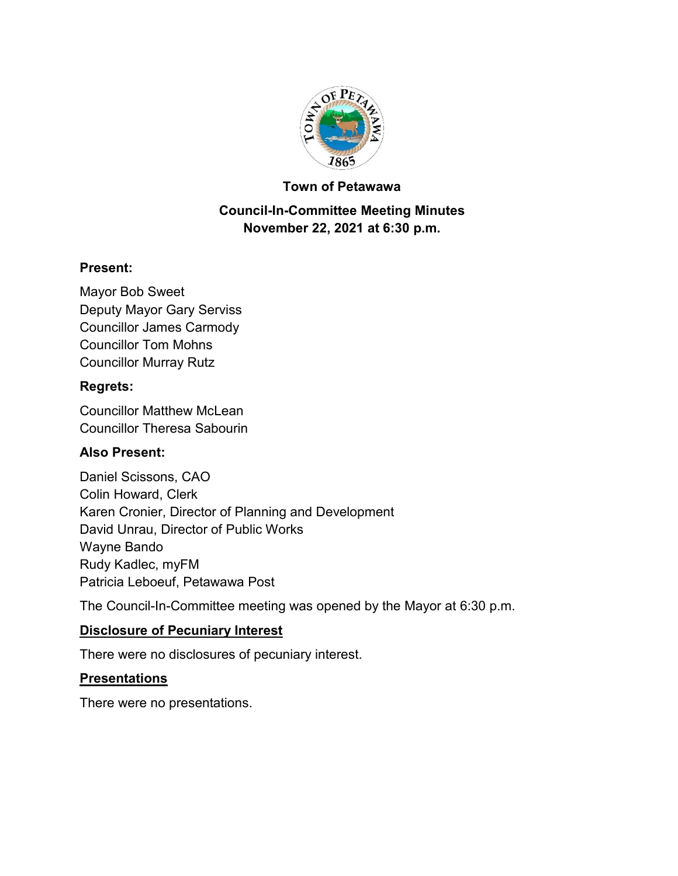

#### **Town of Petawawa**

### **Council-In-Committee Meeting Minutes November 22, 2021 at 6:30 p.m.**

### **Present:**

Mayor Bob Sweet Deputy Mayor Gary Serviss Councillor James Carmody Councillor Tom Mohns Councillor Murray Rutz

#### **Regrets:**

Councillor Matthew McLean Councillor Theresa Sabourin

### **Also Present:**

Daniel Scissons, CAO Colin Howard, Clerk Karen Cronier, Director of Planning and Development David Unrau, Director of Public Works Wayne Bando Rudy Kadlec, myFM Patricia Leboeuf, Petawawa Post

The Council-In-Committee meeting was opened by the Mayor at 6:30 p.m.

### **Disclosure of Pecuniary Interest**

There were no disclosures of pecuniary interest.

### **Presentations**

There were no presentations.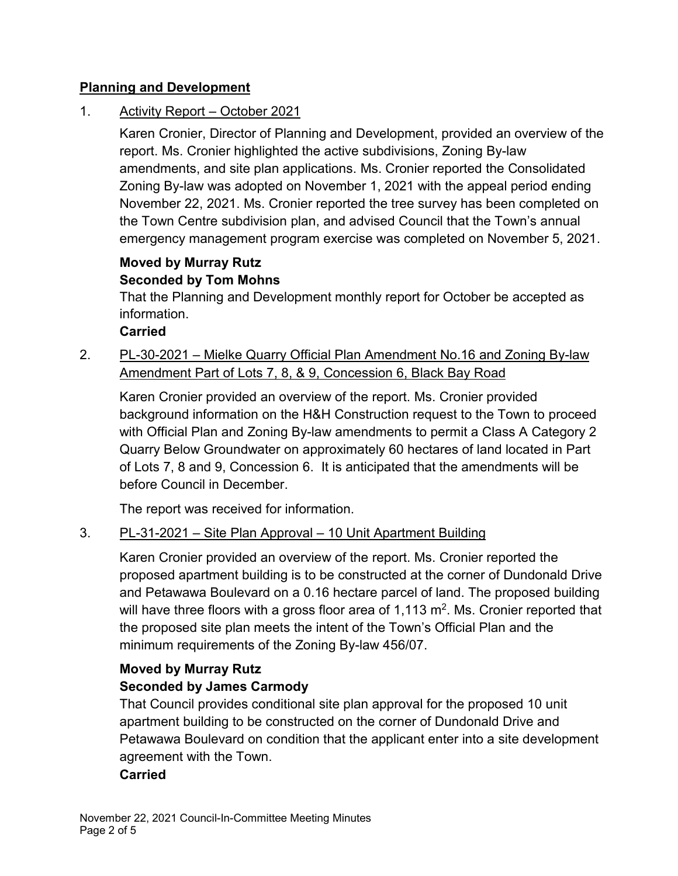### **Planning and Development**

### 1. Activity Report – October 2021

Karen Cronier, Director of Planning and Development, provided an overview of the report. Ms. Cronier highlighted the active subdivisions, Zoning By-law amendments, and site plan applications. Ms. Cronier reported the Consolidated Zoning By-law was adopted on November 1, 2021 with the appeal period ending November 22, 2021. Ms. Cronier reported the tree survey has been completed on the Town Centre subdivision plan, and advised Council that the Town's annual emergency management program exercise was completed on November 5, 2021.

# **Moved by Murray Rutz Seconded by Tom Mohns**

That the Planning and Development monthly report for October be accepted as information.

**Carried**

### 2. PL-30-2021 – Mielke Quarry Official Plan Amendment No.16 and Zoning By-law Amendment Part of Lots 7, 8, & 9, Concession 6, Black Bay Road

Karen Cronier provided an overview of the report. Ms. Cronier provided background information on the H&H Construction request to the Town to proceed with Official Plan and Zoning By-law amendments to permit a Class A Category 2 Quarry Below Groundwater on approximately 60 hectares of land located in Part of Lots 7, 8 and 9, Concession 6. It is anticipated that the amendments will be before Council in December.

The report was received for information.

### 3. PL-31-2021 – Site Plan Approval – 10 Unit Apartment Building

Karen Cronier provided an overview of the report. Ms. Cronier reported the proposed apartment building is to be constructed at the corner of Dundonald Drive and Petawawa Boulevard on a 0.16 hectare parcel of land. The proposed building will have three floors with a gross floor area of 1,113  $\mathrm{m}^2$ . Ms. Cronier reported that the proposed site plan meets the intent of the Town's Official Plan and the minimum requirements of the Zoning By-law 456/07.

# **Moved by Murray Rutz Seconded by James Carmody**

That Council provides conditional site plan approval for the proposed 10 unit apartment building to be constructed on the corner of Dundonald Drive and Petawawa Boulevard on condition that the applicant enter into a site development agreement with the Town.

### **Carried**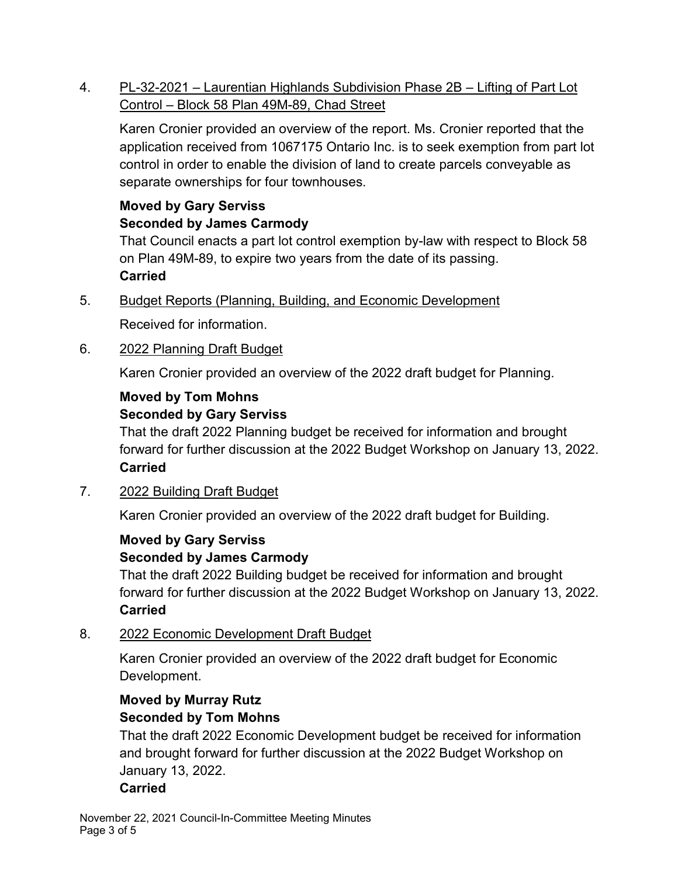4. PL-32-2021 – Laurentian Highlands Subdivision Phase 2B – Lifting of Part Lot Control – Block 58 Plan 49M-89, Chad Street

Karen Cronier provided an overview of the report. Ms. Cronier reported that the application received from 1067175 Ontario Inc. is to seek exemption from part lot control in order to enable the division of land to create parcels conveyable as separate ownerships for four townhouses.

# **Moved by Gary Serviss Seconded by James Carmody**

That Council enacts a part lot control exemption by-law with respect to Block 58 on Plan 49M-89, to expire two years from the date of its passing. **Carried**

5. Budget Reports (Planning, Building, and Economic Development

Received for information.

6. 2022 Planning Draft Budget

Karen Cronier provided an overview of the 2022 draft budget for Planning.

#### **Moved by Tom Mohns Seconded by Gary Serviss**

That the draft 2022 Planning budget be received for information and brought forward for further discussion at the 2022 Budget Workshop on January 13, 2022. **Carried**

7. 2022 Building Draft Budget

Karen Cronier provided an overview of the 2022 draft budget for Building.

### **Moved by Gary Serviss Seconded by James Carmody**

That the draft 2022 Building budget be received for information and brought forward for further discussion at the 2022 Budget Workshop on January 13, 2022. **Carried**

### 8. 2022 Economic Development Draft Budget

Karen Cronier provided an overview of the 2022 draft budget for Economic Development.

# **Moved by Murray Rutz Seconded by Tom Mohns**

That the draft 2022 Economic Development budget be received for information and brought forward for further discussion at the 2022 Budget Workshop on January 13, 2022.

### **Carried**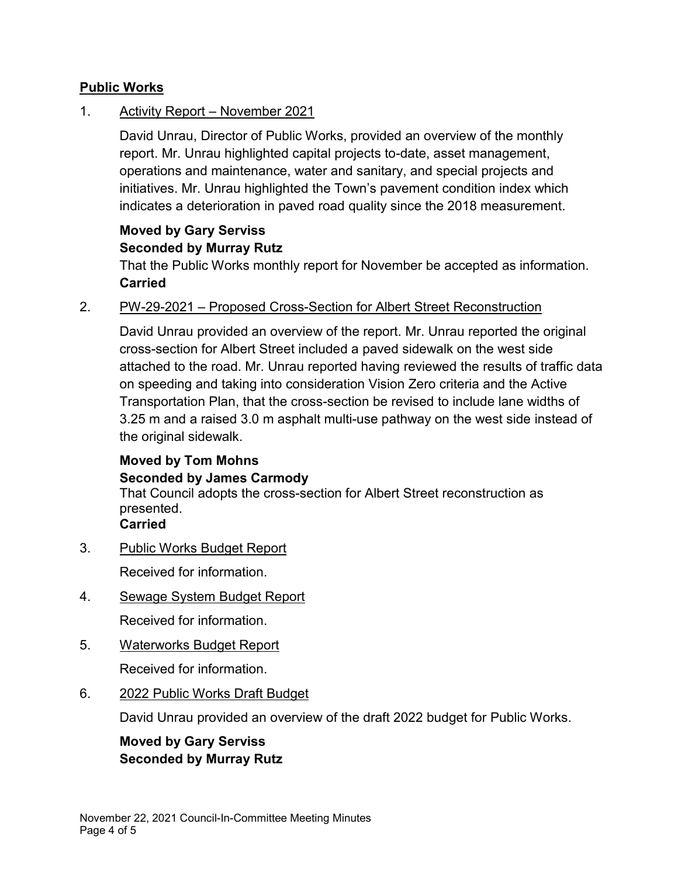### **Public Works**

### 1. Activity Report – November 2021

David Unrau, Director of Public Works, provided an overview of the monthly report. Mr. Unrau highlighted capital projects to-date, asset management, operations and maintenance, water and sanitary, and special projects and initiatives. Mr. Unrau highlighted the Town's pavement condition index which indicates a deterioration in paved road quality since the 2018 measurement.

# **Moved by Gary Serviss Seconded by Murray Rutz**

That the Public Works monthly report for November be accepted as information. **Carried**

### 2. PW-29-2021 – Proposed Cross-Section for Albert Street Reconstruction

David Unrau provided an overview of the report. Mr. Unrau reported the original cross-section for Albert Street included a paved sidewalk on the west side attached to the road. Mr. Unrau reported having reviewed the results of traffic data on speeding and taking into consideration Vision Zero criteria and the Active Transportation Plan, that the cross-section be revised to include lane widths of 3.25 m and a raised 3.0 m asphalt multi-use pathway on the west side instead of the original sidewalk.

# **Moved by Tom Mohns Seconded by James Carmody**

That Council adopts the cross-section for Albert Street reconstruction as presented.

**Carried**

3. Public Works Budget Report

Received for information.

4. Sewage System Budget Report

Received for information.

5. Waterworks Budget Report

Received for information.

6. 2022 Public Works Draft Budget

David Unrau provided an overview of the draft 2022 budget for Public Works.

**Moved by Gary Serviss Seconded by Murray Rutz**